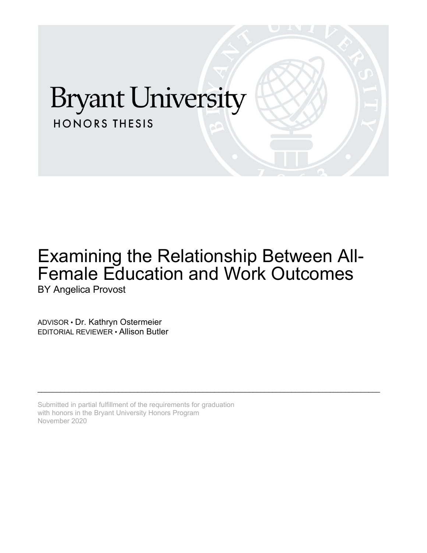# **Bryant University HONORS THESIS**

## Examining the Relationship Between All-Female Education and Work Outcomes BY Angelica Provost

\_\_\_\_\_\_\_\_\_\_\_\_\_\_\_\_\_\_\_\_\_\_\_\_\_\_\_\_\_\_\_\_\_\_\_\_\_\_\_\_\_\_\_\_\_\_\_\_\_\_\_\_\_\_\_\_\_\_\_\_\_\_\_\_\_\_\_\_\_\_\_\_\_\_\_\_\_\_\_\_\_\_\_\_\_\_\_\_\_

ADVISOR • Dr. Kathryn Ostermeier EDITORIAL REVIEWER • Allison Butler

Submitted in partial fulfillment of the requirements for graduation with honors in the Bryant University Honors Program November 2020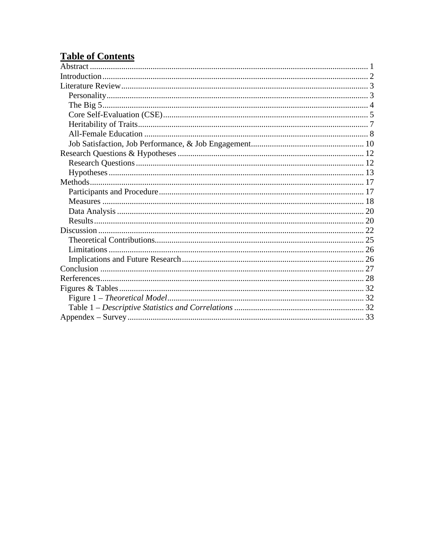### **Table of Contents**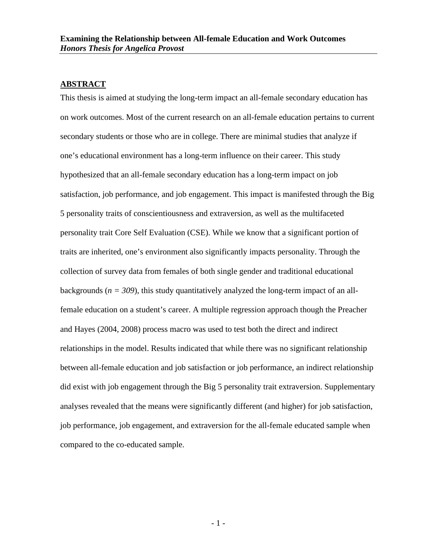#### <span id="page-2-0"></span>**ABSTRACT**

This thesis is aimed at studying the long-term impact an all-female secondary education has on work outcomes. Most of the current research on an all-female education pertains to current secondary students or those who are in college. There are minimal studies that analyze if one's educational environment has a long-term influence on their career. This study hypothesized that an all-female secondary education has a long-term impact on job satisfaction, job performance, and job engagement. This impact is manifested through the Big 5 personality traits of conscientiousness and extraversion, as well as the multifaceted personality trait Core Self Evaluation (CSE). While we know that a significant portion of traits are inherited, one's environment also significantly impacts personality. Through the collection of survey data from females of both single gender and traditional educational backgrounds ( $n = 309$ ), this study quantitatively analyzed the long-term impact of an allfemale education on a student's career. A multiple regression approach though the Preacher and Hayes (2004, 2008) process macro was used to test both the direct and indirect relationships in the model. Results indicated that while there was no significant relationship between all-female education and job satisfaction or job performance, an indirect relationship did exist with job engagement through the Big 5 personality trait extraversion. Supplementary analyses revealed that the means were significantly different (and higher) for job satisfaction, job performance, job engagement, and extraversion for the all-female educated sample when compared to the co-educated sample.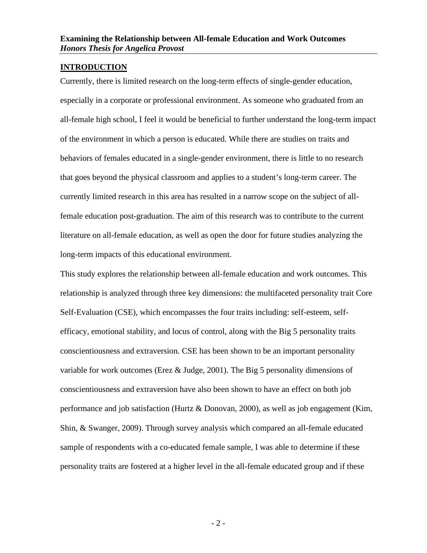#### <span id="page-3-0"></span>**INTRODUCTION**

Currently, there is limited research on the long-term effects of single-gender education, especially in a corporate or professional environment. As someone who graduated from an all-female high school, I feel it would be beneficial to further understand the long-term impact of the environment in which a person is educated. While there are studies on traits and behaviors of females educated in a single-gender environment, there is little to no research that goes beyond the physical classroom and applies to a student's long-term career. The currently limited research in this area has resulted in a narrow scope on the subject of allfemale education post-graduation. The aim of this research was to contribute to the current literature on all-female education, as well as open the door for future studies analyzing the long-term impacts of this educational environment.

This study explores the relationship between all-female education and work outcomes. This relationship is analyzed through three key dimensions: the multifaceted personality trait Core Self-Evaluation (CSE), which encompasses the four traits including: self-esteem, selfefficacy, emotional stability, and locus of control, along with the Big 5 personality traits conscientiousness and extraversion. CSE has been shown to be an important personality variable for work outcomes (Erez & Judge, 2001). The Big 5 personality dimensions of conscientiousness and extraversion have also been shown to have an effect on both job performance and job satisfaction (Hurtz & Donovan, 2000), as well as job engagement (Kim, Shin, & Swanger, 2009). Through survey analysis which compared an all-female educated sample of respondents with a co-educated female sample, I was able to determine if these personality traits are fostered at a higher level in the all-female educated group and if these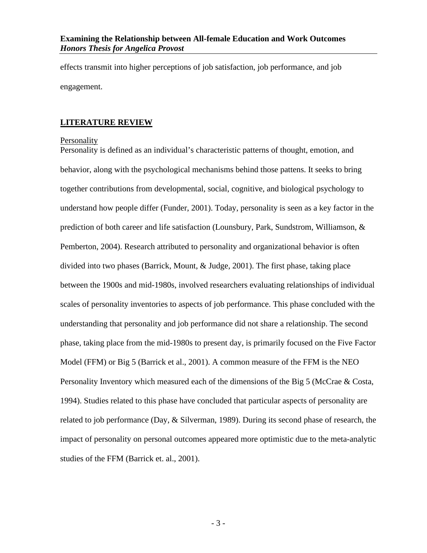effects transmit into higher perceptions of job satisfaction, job performance, and job engagement.

#### <span id="page-4-0"></span>**LITERATURE REVIEW**

#### <span id="page-4-1"></span>Personality

Personality is defined as an individual's characteristic patterns of thought, emotion, and behavior, along with the psychological mechanisms behind those pattens. It seeks to bring together contributions from developmental, social, cognitive, and biological psychology to understand how people differ (Funder, 2001). Today, personality is seen as a key factor in the prediction of both career and life satisfaction (Lounsbury, Park, Sundstrom, Williamson, & Pemberton, 2004). Research attributed to personality and organizational behavior is often divided into two phases (Barrick, Mount, & Judge, 2001). The first phase, taking place between the 1900s and mid-1980s, involved researchers evaluating relationships of individual scales of personality inventories to aspects of job performance. This phase concluded with the understanding that personality and job performance did not share a relationship. The second phase, taking place from the mid-1980s to present day, is primarily focused on the Five Factor Model (FFM) or Big 5 (Barrick et al., 2001). A common measure of the FFM is the NEO Personality Inventory which measured each of the dimensions of the Big 5 (McCrae & Costa, 1994). Studies related to this phase have concluded that particular aspects of personality are related to job performance (Day, & Silverman, 1989). During its second phase of research, the impact of personality on personal outcomes appeared more optimistic due to the meta-analytic studies of the FFM (Barrick et. al., 2001).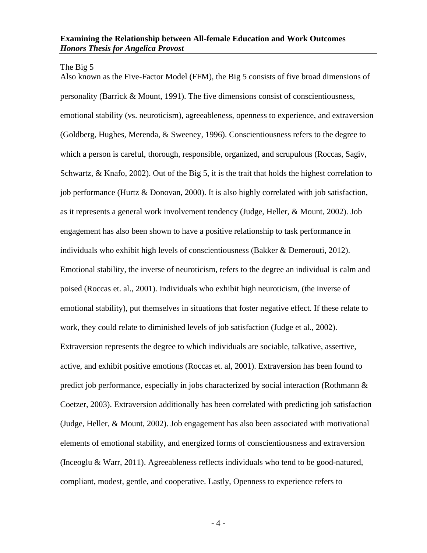#### <span id="page-5-0"></span>The Big 5

Also known as the Five-Factor Model (FFM), the Big 5 consists of five broad dimensions of personality (Barrick & Mount, 1991). The five dimensions consist of conscientiousness, emotional stability (vs. neuroticism), agreeableness, openness to experience, and extraversion (Goldberg, Hughes, Merenda, & Sweeney, 1996). Conscientiousness refers to the degree to which a person is careful, thorough, responsible, organized, and scrupulous (Roccas, Sagiv, Schwartz, & Knafo, 2002). Out of the Big 5, it is the trait that holds the highest correlation to job performance (Hurtz & Donovan, 2000). It is also highly correlated with job satisfaction, as it represents a general work involvement tendency (Judge, Heller, & Mount, 2002). Job engagement has also been shown to have a positive relationship to task performance in individuals who exhibit high levels of conscientiousness (Bakker & Demerouti, 2012). Emotional stability, the inverse of neuroticism, refers to the degree an individual is calm and poised (Roccas et. al., 2001). Individuals who exhibit high neuroticism, (the inverse of emotional stability), put themselves in situations that foster negative effect. If these relate to work, they could relate to diminished levels of job satisfaction (Judge et al., 2002). Extraversion represents the degree to which individuals are sociable, talkative, assertive, active, and exhibit positive emotions (Roccas et. al, 2001). Extraversion has been found to predict job performance, especially in jobs characterized by social interaction (Rothmann & Coetzer, 2003). Extraversion additionally has been correlated with predicting job satisfaction (Judge, Heller, & Mount, 2002). Job engagement has also been associated with motivational elements of emotional stability, and energized forms of conscientiousness and extraversion (Inceoglu & Warr, 2011). Agreeableness reflects individuals who tend to be good-natured, compliant, modest, gentle, and cooperative. Lastly, Openness to experience refers to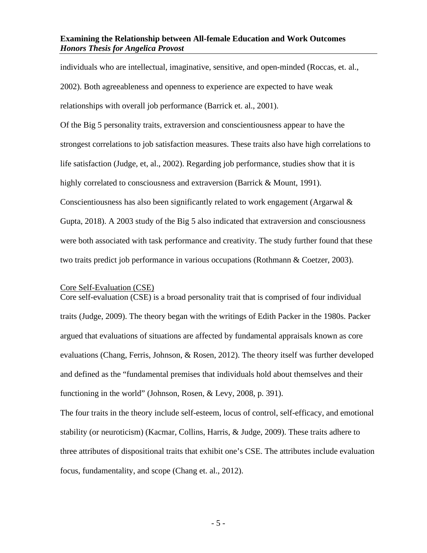individuals who are intellectual, imaginative, sensitive, and open-minded (Roccas, et. al., 2002). Both agreeableness and openness to experience are expected to have weak relationships with overall job performance (Barrick et. al., 2001).

Of the Big 5 personality traits, extraversion and conscientiousness appear to have the strongest correlations to job satisfaction measures. These traits also have high correlations to life satisfaction (Judge, et, al., 2002). Regarding job performance, studies show that it is highly correlated to consciousness and extraversion (Barrick & Mount, 1991). Conscientiousness has also been significantly related to work engagement (Argarwal & Gupta, 2018). A 2003 study of the Big 5 also indicated that extraversion and consciousness were both associated with task performance and creativity. The study further found that these two traits predict job performance in various occupations (Rothmann & Coetzer, 2003).

#### <span id="page-6-0"></span>Core Self-Evaluation (CSE)

Core self-evaluation (CSE) is a broad personality trait that is comprised of four individual traits (Judge, 2009). The theory began with the writings of Edith Packer in the 1980s. Packer argued that evaluations of situations are affected by fundamental appraisals known as core evaluations (Chang, Ferris, Johnson, & Rosen, 2012). The theory itself was further developed and defined as the "fundamental premises that individuals hold about themselves and their functioning in the world" (Johnson, Rosen, & Levy, 2008, p. 391).

The four traits in the theory include self-esteem, locus of control, self-efficacy, and emotional stability (or neuroticism) (Kacmar, Collins, Harris, & Judge, 2009). These traits adhere to three attributes of dispositional traits that exhibit one's CSE. The attributes include evaluation focus, fundamentality, and scope (Chang et. al., 2012).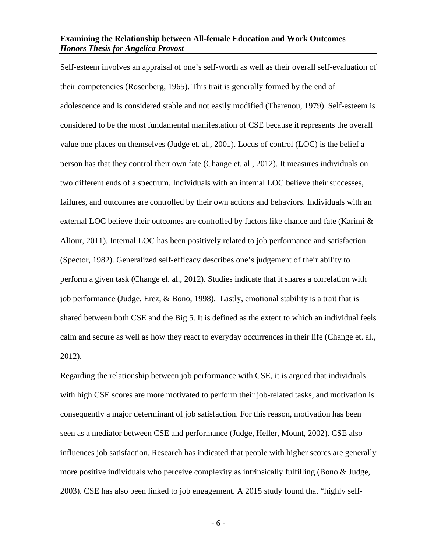Self-esteem involves an appraisal of one's self-worth as well as their overall self-evaluation of their competencies (Rosenberg, 1965). This trait is generally formed by the end of adolescence and is considered stable and not easily modified (Tharenou, 1979). Self-esteem is considered to be the most fundamental manifestation of CSE because it represents the overall value one places on themselves (Judge et. al., 2001). Locus of control (LOC) is the belief a person has that they control their own fate (Change et. al., 2012). It measures individuals on two different ends of a spectrum. Individuals with an internal LOC believe their successes, failures, and outcomes are controlled by their own actions and behaviors. Individuals with an external LOC believe their outcomes are controlled by factors like chance and fate (Karimi  $\&$ Aliour, 2011). Internal LOC has been positively related to job performance and satisfaction (Spector, 1982). Generalized self-efficacy describes one's judgement of their ability to perform a given task (Change el. al., 2012). Studies indicate that it shares a correlation with job performance (Judge, Erez, & Bono, 1998). Lastly, emotional stability is a trait that is shared between both CSE and the Big 5. It is defined as the extent to which an individual feels calm and secure as well as how they react to everyday occurrences in their life (Change et. al., 2012).

Regarding the relationship between job performance with CSE, it is argued that individuals with high CSE scores are more motivated to perform their job-related tasks, and motivation is consequently a major determinant of job satisfaction. For this reason, motivation has been seen as a mediator between CSE and performance (Judge, Heller, Mount, 2002). CSE also influences job satisfaction. Research has indicated that people with higher scores are generally more positive individuals who perceive complexity as intrinsically fulfilling (Bono & Judge, 2003). CSE has also been linked to job engagement. A 2015 study found that "highly self-

- 6 -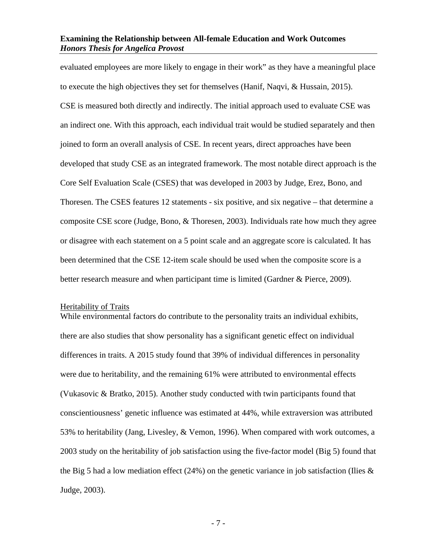evaluated employees are more likely to engage in their work" as they have a meaningful place to execute the high objectives they set for themselves (Hanif, Naqvi, & Hussain, 2015). CSE is measured both directly and indirectly. The initial approach used to evaluate CSE was an indirect one. With this approach, each individual trait would be studied separately and then joined to form an overall analysis of CSE. In recent years, direct approaches have been developed that study CSE as an integrated framework. The most notable direct approach is the Core Self Evaluation Scale (CSES) that was developed in 2003 by Judge, Erez, Bono, and Thoresen. The CSES features 12 statements - six positive, and six negative – that determine a composite CSE score (Judge, Bono, & Thoresen, 2003). Individuals rate how much they agree or disagree with each statement on a 5 point scale and an aggregate score is calculated. It has been determined that the CSE 12-item scale should be used when the composite score is a better research measure and when participant time is limited (Gardner & Pierce, 2009).

#### <span id="page-8-0"></span>Heritability of Traits

While environmental factors do contribute to the personality traits an individual exhibits, there are also studies that show personality has a significant genetic effect on individual differences in traits. A 2015 study found that 39% of individual differences in personality were due to heritability, and the remaining 61% were attributed to environmental effects (Vukasovic & Bratko, 2015). Another study conducted with twin participants found that conscientiousness' genetic influence was estimated at 44%, while extraversion was attributed 53% to heritability (Jang, Livesley, & Vemon, 1996). When compared with work outcomes, a 2003 study on the heritability of job satisfaction using the five-factor model (Big 5) found that the Big 5 had a low mediation effect (24%) on the genetic variance in job satisfaction (Ilies  $\&$ Judge, 2003).

- 7 -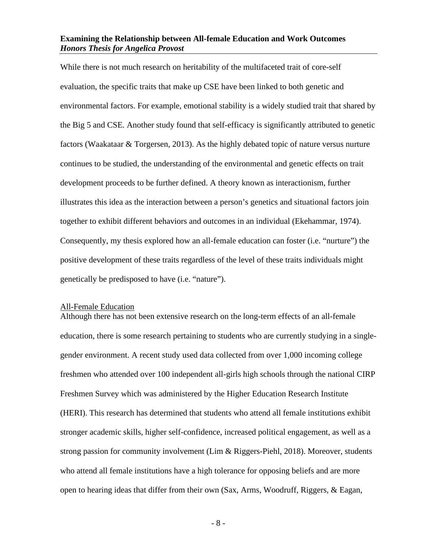While there is not much research on heritability of the multifaceted trait of core-self evaluation, the specific traits that make up CSE have been linked to both genetic and environmental factors. For example, emotional stability is a widely studied trait that shared by the Big 5 and CSE. Another study found that self-efficacy is significantly attributed to genetic factors (Waakataar & Torgersen, 2013). As the highly debated topic of nature versus nurture continues to be studied, the understanding of the environmental and genetic effects on trait development proceeds to be further defined. A theory known as interactionism, further illustrates this idea as the interaction between a person's genetics and situational factors join together to exhibit different behaviors and outcomes in an individual (Ekehammar, 1974). Consequently, my thesis explored how an all-female education can foster (i.e. "nurture") the positive development of these traits regardless of the level of these traits individuals might genetically be predisposed to have (i.e. "nature").

#### <span id="page-9-0"></span>All-Female Education

Although there has not been extensive research on the long-term effects of an all-female education, there is some research pertaining to students who are currently studying in a singlegender environment. A recent study used data collected from over 1,000 incoming college freshmen who attended over 100 independent all-girls high schools through the national CIRP Freshmen Survey which was administered by the Higher Education Research Institute (HERI). This research has determined that students who attend all female institutions exhibit stronger academic skills, higher self-confidence, increased political engagement, as well as a strong passion for community involvement (Lim & Riggers-Piehl, 2018). Moreover, students who attend all female institutions have a high tolerance for opposing beliefs and are more open to hearing ideas that differ from their own (Sax, Arms, Woodruff, Riggers, & Eagan,

- 8 -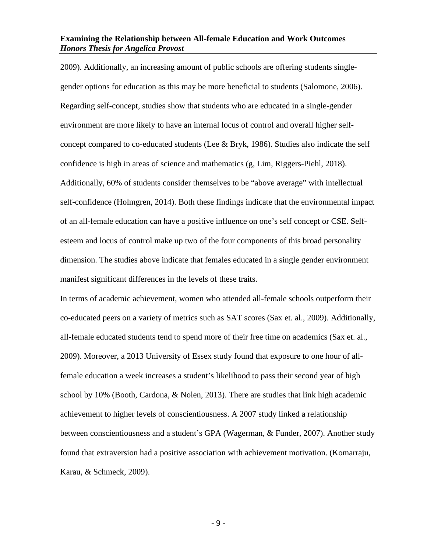2009). Additionally, an increasing amount of public schools are offering students singlegender options for education as this may be more beneficial to students (Salomone, 2006). Regarding self-concept, studies show that students who are educated in a single-gender environment are more likely to have an internal locus of control and overall higher selfconcept compared to co-educated students (Lee & Bryk, 1986). Studies also indicate the self confidence is high in areas of science and mathematics (g, Lim, Riggers-Piehl, 2018). Additionally, 60% of students consider themselves to be "above average" with intellectual self-confidence (Holmgren, 2014). Both these findings indicate that the environmental impact of an all-female education can have a positive influence on one's self concept or CSE. Selfesteem and locus of control make up two of the four components of this broad personality dimension. The studies above indicate that females educated in a single gender environment manifest significant differences in the levels of these traits.

In terms of academic achievement, women who attended all-female schools outperform their co-educated peers on a variety of metrics such as SAT scores (Sax et. al., 2009). Additionally, all-female educated students tend to spend more of their free time on academics (Sax et. al., 2009). Moreover, a 2013 University of Essex study found that exposure to one hour of allfemale education a week increases a student's likelihood to pass their second year of high school by 10% (Booth, Cardona, & Nolen, 2013). There are studies that link high academic achievement to higher levels of conscientiousness. A 2007 study linked a relationship between conscientiousness and a student's GPA (Wagerman, & Funder, 2007). Another study found that extraversion had a positive association with achievement motivation. (Komarraju, Karau, & Schmeck, 2009).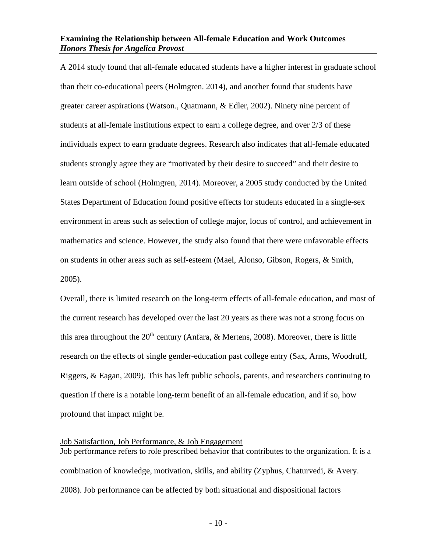A 2014 study found that all-female educated students have a higher interest in graduate school than their co-educational peers (Holmgren. 2014), and another found that students have greater career aspirations (Watson., Quatmann, & Edler, 2002). Ninety nine percent of students at all-female institutions expect to earn a college degree, and over 2/3 of these individuals expect to earn graduate degrees. Research also indicates that all-female educated students strongly agree they are "motivated by their desire to succeed" and their desire to learn outside of school (Holmgren, 2014). Moreover, a 2005 study conducted by the United States Department of Education found positive effects for students educated in a single-sex environment in areas such as selection of college major, locus of control, and achievement in mathematics and science. However, the study also found that there were unfavorable effects on students in other areas such as self-esteem (Mael, Alonso, Gibson, Rogers, & Smith, 2005).

Overall, there is limited research on the long-term effects of all-female education, and most of the current research has developed over the last 20 years as there was not a strong focus on this area throughout the  $20<sup>th</sup>$  century (Anfara, & Mertens, 2008). Moreover, there is little research on the effects of single gender-education past college entry (Sax, Arms, Woodruff, Riggers, & Eagan, 2009). This has left public schools, parents, and researchers continuing to question if there is a notable long-term benefit of an all-female education, and if so, how profound that impact might be.

#### <span id="page-11-0"></span>Job Satisfaction, Job Performance, & Job Engagement

Job performance refers to role prescribed behavior that contributes to the organization. It is a combination of knowledge, motivation, skills, and ability (Zyphus, Chaturvedi, & Avery. 2008). Job performance can be affected by both situational and dispositional factors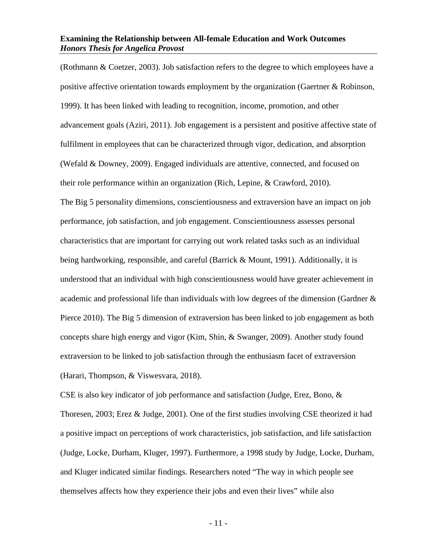(Rothmann & Coetzer, 2003). Job satisfaction refers to the degree to which employees have a positive affective orientation towards employment by the organization (Gaertner & Robinson, 1999). It has been linked with leading to recognition, income, promotion, and other advancement goals (Aziri, 2011). Job engagement is a persistent and positive affective state of fulfilment in employees that can be characterized through vigor, dedication, and absorption (Wefald & Downey, 2009). Engaged individuals are attentive, connected, and focused on their role performance within an organization (Rich, Lepine, & Crawford, 2010). The Big 5 personality dimensions, conscientiousness and extraversion have an impact on job performance, job satisfaction, and job engagement. Conscientiousness assesses personal characteristics that are important for carrying out work related tasks such as an individual being hardworking, responsible, and careful (Barrick & Mount, 1991). Additionally, it is understood that an individual with high conscientiousness would have greater achievement in academic and professional life than individuals with low degrees of the dimension (Gardner & Pierce 2010). The Big 5 dimension of extraversion has been linked to job engagement as both concepts share high energy and vigor (Kim, Shin, & Swanger, 2009). Another study found extraversion to be linked to job satisfaction through the enthusiasm facet of extraversion (Harari, Thompson, & Viswesvara, 2018).

CSE is also key indicator of job performance and satisfaction (Judge, Erez, Bono, & Thoresen, 2003; Erez & Judge, 2001). One of the first studies involving CSE theorized it had a positive impact on perceptions of work characteristics, job satisfaction, and life satisfaction (Judge, Locke, Durham, Kluger, 1997). Furthermore, a 1998 study by Judge, Locke, Durham, and Kluger indicated similar findings. Researchers noted "The way in which people see themselves affects how they experience their jobs and even their lives" while also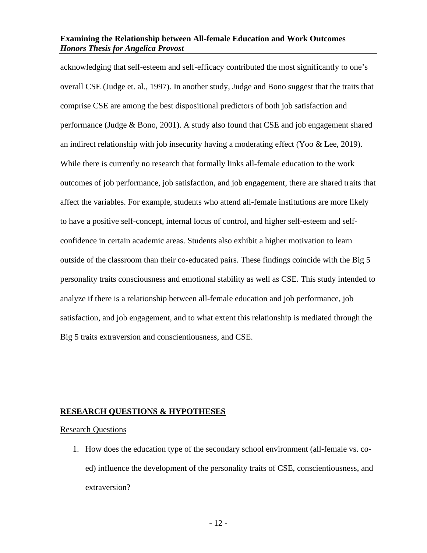acknowledging that self-esteem and self-efficacy contributed the most significantly to one's overall CSE (Judge et. al., 1997). In another study, Judge and Bono suggest that the traits that comprise CSE are among the best dispositional predictors of both job satisfaction and performance (Judge & Bono, 2001). A study also found that CSE and job engagement shared an indirect relationship with job insecurity having a moderating effect (Yoo & Lee, 2019). While there is currently no research that formally links all-female education to the work outcomes of job performance, job satisfaction, and job engagement, there are shared traits that affect the variables. For example, students who attend all-female institutions are more likely to have a positive self-concept, internal locus of control, and higher self-esteem and selfconfidence in certain academic areas. Students also exhibit a higher motivation to learn outside of the classroom than their co-educated pairs. These findings coincide with the Big 5 personality traits consciousness and emotional stability as well as CSE. This study intended to analyze if there is a relationship between all-female education and job performance, job satisfaction, and job engagement, and to what extent this relationship is mediated through the Big 5 traits extraversion and conscientiousness, and CSE.

#### <span id="page-13-0"></span>**RESEARCH QUESTIONS & HYPOTHESES**

#### <span id="page-13-1"></span>Research Questions

1. How does the education type of the secondary school environment (all-female vs. coed) influence the development of the personality traits of CSE, conscientiousness, and extraversion?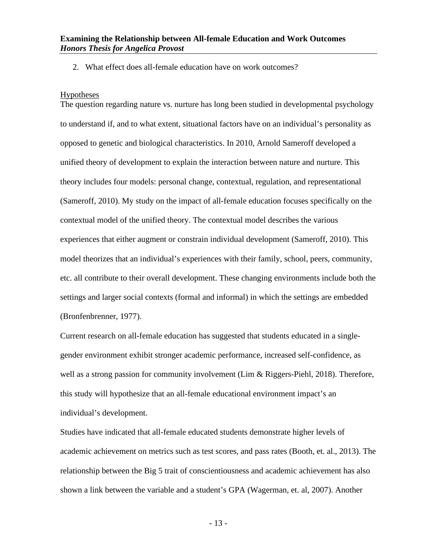2. What effect does all-female education have on work outcomes?

#### <span id="page-14-0"></span>Hypotheses

The question regarding nature vs. nurture has long been studied in developmental psychology to understand if, and to what extent, situational factors have on an individual's personality as opposed to genetic and biological characteristics. In 2010, Arnold Sameroff developed a unified theory of development to explain the interaction between nature and nurture. This theory includes four models: personal change, contextual, regulation, and representational (Sameroff, 2010). My study on the impact of all-female education focuses specifically on the contextual model of the unified theory. The contextual model describes the various experiences that either augment or constrain individual development (Sameroff, 2010). This model theorizes that an individual's experiences with their family, school, peers, community, etc. all contribute to their overall development. These changing environments include both the settings and larger social contexts (formal and informal) in which the settings are embedded (Bronfenbrenner, 1977).

Current research on all-female education has suggested that students educated in a singlegender environment exhibit stronger academic performance, increased self-confidence, as well as a strong passion for community involvement (Lim & Riggers-Piehl, 2018). Therefore, this study will hypothesize that an all-female educational environment impact's an individual's development.

Studies have indicated that all-female educated students demonstrate higher levels of academic achievement on metrics such as test scores, and pass rates (Booth, et. al., 2013). The relationship between the Big 5 trait of conscientiousness and academic achievement has also shown a link between the variable and a student's GPA (Wagerman, et. al, 2007). Another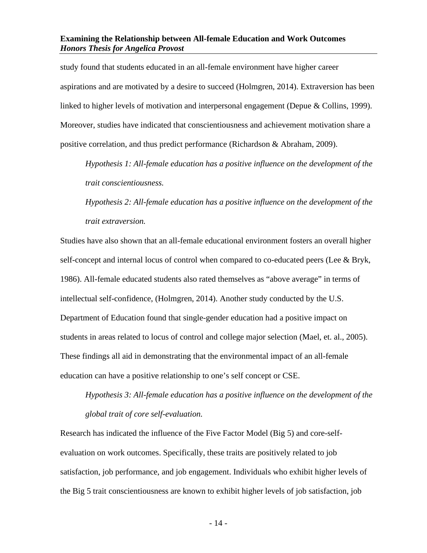study found that students educated in an all-female environment have higher career aspirations and are motivated by a desire to succeed (Holmgren, 2014). Extraversion has been linked to higher levels of motivation and interpersonal engagement (Depue & Collins, 1999). Moreover, studies have indicated that conscientiousness and achievement motivation share a positive correlation, and thus predict performance (Richardson & Abraham, 2009).

*Hypothesis 1: All-female education has a positive influence on the development of the trait conscientiousness.* 

*Hypothesis 2: All-female education has a positive influence on the development of the trait extraversion.*

Studies have also shown that an all-female educational environment fosters an overall higher self-concept and internal locus of control when compared to co-educated peers (Lee & Bryk, 1986). All-female educated students also rated themselves as "above average" in terms of intellectual self-confidence, (Holmgren, 2014). Another study conducted by the U.S. Department of Education found that single-gender education had a positive impact on students in areas related to locus of control and college major selection (Mael, et. al., 2005). These findings all aid in demonstrating that the environmental impact of an all-female education can have a positive relationship to one's self concept or CSE.

*Hypothesis 3: All-female education has a positive influence on the development of the global trait of core self-evaluation.* 

Research has indicated the influence of the Five Factor Model (Big 5) and core-selfevaluation on work outcomes. Specifically, these traits are positively related to job satisfaction, job performance, and job engagement. Individuals who exhibit higher levels of the Big 5 trait conscientiousness are known to exhibit higher levels of job satisfaction, job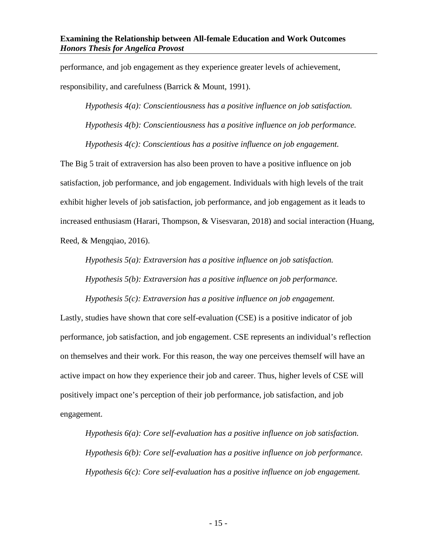performance, and job engagement as they experience greater levels of achievement, responsibility, and carefulness (Barrick & Mount, 1991).

*Hypothesis 4(a): Conscientiousness has a positive influence on job satisfaction. Hypothesis 4(b): Conscientiousness has a positive influence on job performance. Hypothesis 4(c): Conscientious has a positive influence on job engagement.* 

The Big 5 trait of extraversion has also been proven to have a positive influence on job satisfaction, job performance, and job engagement. Individuals with high levels of the trait exhibit higher levels of job satisfaction, job performance, and job engagement as it leads to increased enthusiasm (Harari, Thompson, & Visesvaran, 2018) and social interaction (Huang, Reed, & Mengqiao, 2016).

*Hypothesis 5(a): Extraversion has a positive influence on job satisfaction. Hypothesis 5(b): Extraversion has a positive influence on job performance.* 

*Hypothesis 5(c): Extraversion has a positive influence on job engagement.* 

Lastly, studies have shown that core self-evaluation (CSE) is a positive indicator of job performance, job satisfaction, and job engagement. CSE represents an individual's reflection on themselves and their work. For this reason, the way one perceives themself will have an active impact on how they experience their job and career. Thus, higher levels of CSE will positively impact one's perception of their job performance, job satisfaction, and job engagement.

*Hypothesis 6(a): Core self-evaluation has a positive influence on job satisfaction. Hypothesis 6(b): Core self-evaluation has a positive influence on job performance. Hypothesis 6(c): Core self-evaluation has a positive influence on job engagement.*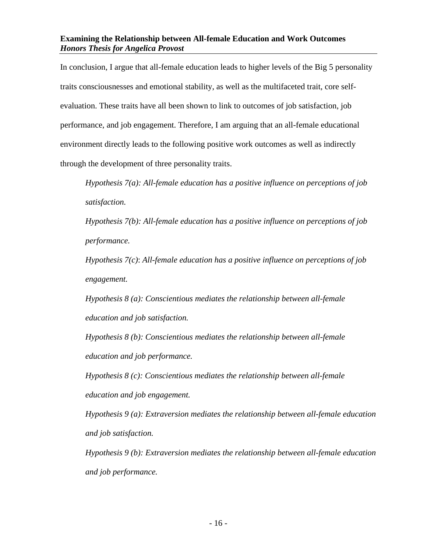In conclusion, I argue that all-female education leads to higher levels of the Big 5 personality traits consciousnesses and emotional stability, as well as the multifaceted trait, core selfevaluation. These traits have all been shown to link to outcomes of job satisfaction, job performance, and job engagement. Therefore, I am arguing that an all-female educational environment directly leads to the following positive work outcomes as well as indirectly through the development of three personality traits.

*Hypothesis 7(a): All-female education has a positive influence on perceptions of job satisfaction.* 

*Hypothesis 7(b): All-female education has a positive influence on perceptions of job performance.* 

*Hypothesis 7(c)*: *All-female education has a positive influence on perceptions of job engagement.* 

*Hypothesis 8 (a): Conscientious mediates the relationship between all-female education and job satisfaction.* 

*Hypothesis 8 (b): Conscientious mediates the relationship between all-female education and job performance.* 

*Hypothesis 8 (c): Conscientious mediates the relationship between all-female education and job engagement.* 

*Hypothesis 9 (a): Extraversion mediates the relationship between all-female education and job satisfaction.* 

*Hypothesis 9 (b): Extraversion mediates the relationship between all-female education and job performance.*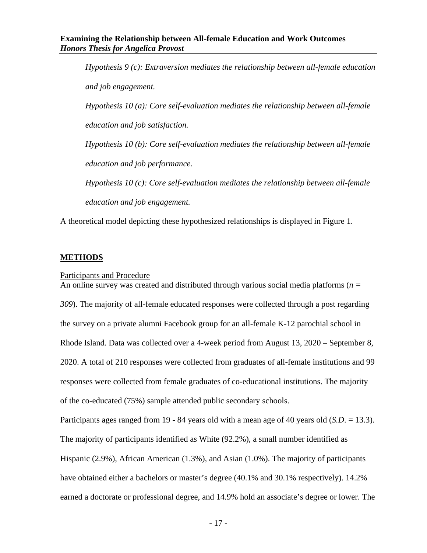*Hypothesis 9 (c): Extraversion mediates the relationship between all-female education and job engagement. Hypothesis 10 (a): Core self-evaluation mediates the relationship between all-female education and job satisfaction. Hypothesis 10 (b): Core self-evaluation mediates the relationship between all-female education and job performance. Hypothesis 10 (c): Core self-evaluation mediates the relationship between all-female education and job engagement.*

<span id="page-18-0"></span>A theoretical model depicting these hypothesized relationships is displayed in Figure 1.

#### **METHODS**

#### <span id="page-18-1"></span>Participants and Procedure

An online survey was created and distributed through various social media platforms (*n = 309*). The majority of all-female educated responses were collected through a post regarding the survey on a private alumni Facebook group for an all-female K-12 parochial school in Rhode Island. Data was collected over a 4-week period from August 13, 2020 – September 8, 2020. A total of 210 responses were collected from graduates of all-female institutions and 99 responses were collected from female graduates of co-educational institutions. The majority of the co-educated (75%) sample attended public secondary schools.

Participants ages ranged from 19 - 84 years old with a mean age of 40 years old (*S.D*. = 13.3). The majority of participants identified as White (92.2%), a small number identified as Hispanic (2.9%), African American (1.3%), and Asian (1.0%). The majority of participants have obtained either a bachelors or master's degree (40.1% and 30.1% respectively). 14.2% earned a doctorate or professional degree, and 14.9% hold an associate's degree or lower. The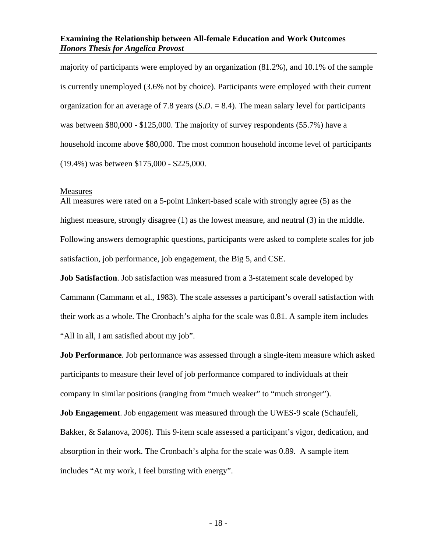majority of participants were employed by an organization (81.2%), and 10.1% of the sample is currently unemployed (3.6% not by choice). Participants were employed with their current organization for an average of 7.8 years (*S*.*D*. = 8.4). The mean salary level for participants was between \$80,000 - \$125,000. The majority of survey respondents (55.7%) have a household income above \$80,000. The most common household income level of participants (19.4%) was between \$175,000 - \$225,000.

#### <span id="page-19-0"></span>Measures

All measures were rated on a 5-point Linkert-based scale with strongly agree (5) as the highest measure, strongly disagree (1) as the lowest measure, and neutral (3) in the middle. Following answers demographic questions, participants were asked to complete scales for job satisfaction, job performance, job engagement, the Big 5, and CSE.

**Job Satisfaction**. Job satisfaction was measured from a 3-statement scale developed by Cammann (Cammann et al., 1983). The scale assesses a participant's overall satisfaction with their work as a whole. The Cronbach's alpha for the scale was 0.81. A sample item includes "All in all, I am satisfied about my job".

**Job Performance**. Job performance was assessed through a single-item measure which asked participants to measure their level of job performance compared to individuals at their company in similar positions (ranging from "much weaker" to "much stronger").

**Job Engagement**. Job engagement was measured through the UWES-9 scale (Schaufeli, Bakker, & Salanova, 2006). This 9-item scale assessed a participant's vigor, dedication, and absorption in their work. The Cronbach's alpha for the scale was 0.89. A sample item includes "At my work, I feel bursting with energy".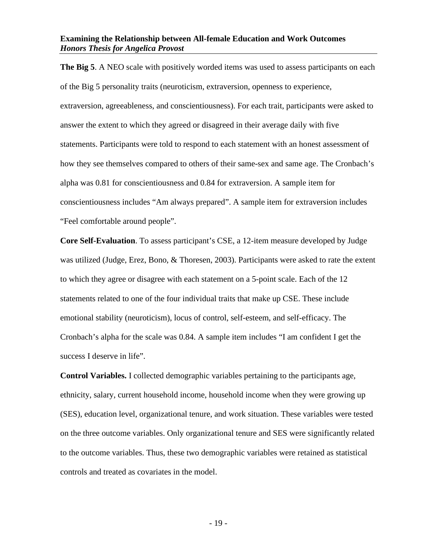**The Big 5**. A NEO scale with positively worded items was used to assess participants on each of the Big 5 personality traits (neuroticism, extraversion, openness to experience, extraversion, agreeableness, and conscientiousness). For each trait, participants were asked to answer the extent to which they agreed or disagreed in their average daily with five statements. Participants were told to respond to each statement with an honest assessment of how they see themselves compared to others of their same-sex and same age. The Cronbach's alpha was 0.81 for conscientiousness and 0.84 for extraversion. A sample item for conscientiousness includes "Am always prepared". A sample item for extraversion includes "Feel comfortable around people".

**Core Self-Evaluation**. To assess participant's CSE, a 12-item measure developed by Judge was utilized (Judge, Erez, Bono, & Thoresen, 2003). Participants were asked to rate the extent to which they agree or disagree with each statement on a 5-point scale. Each of the 12 statements related to one of the four individual traits that make up CSE. These include emotional stability (neuroticism), locus of control, self-esteem, and self-efficacy. The Cronbach's alpha for the scale was 0.84. A sample item includes "I am confident I get the success I deserve in life".

**Control Variables.** I collected demographic variables pertaining to the participants age, ethnicity, salary, current household income, household income when they were growing up (SES), education level, organizational tenure, and work situation. These variables were tested on the three outcome variables. Only organizational tenure and SES were significantly related to the outcome variables. Thus, these two demographic variables were retained as statistical controls and treated as covariates in the model.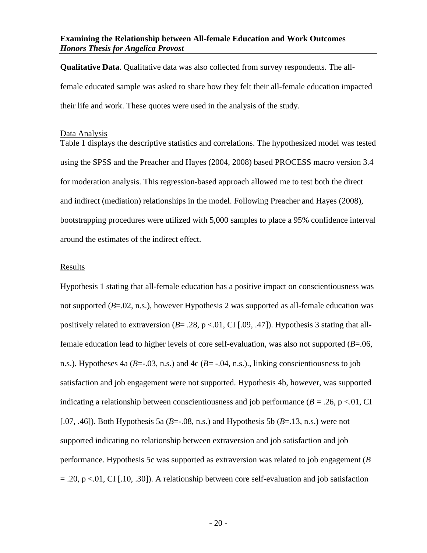**Qualitative Data**. Qualitative data was also collected from survey respondents. The allfemale educated sample was asked to share how they felt their all-female education impacted their life and work. These quotes were used in the analysis of the study.

#### <span id="page-21-0"></span>Data Analysis

Table 1 displays the descriptive statistics and correlations. The hypothesized model was tested using the SPSS and the Preacher and Hayes (2004, 2008) based PROCESS macro version 3.4 for moderation analysis. This regression-based approach allowed me to test both the direct and indirect (mediation) relationships in the model. Following Preacher and Hayes (2008), bootstrapping procedures were utilized with 5,000 samples to place a 95% confidence interval around the estimates of the indirect effect.

#### <span id="page-21-1"></span>Results

Hypothesis 1 stating that all-female education has a positive impact on conscientiousness was not supported (*B*=.02, n.s.), however Hypothesis 2 was supported as all-female education was positively related to extraversion  $(B = .28, p < .01, CI$  [.09, .47]). Hypothesis 3 stating that allfemale education lead to higher levels of core self-evaluation, was also not supported (*B*=.06, n.s.). Hypotheses 4a ( $B = -03$ , n.s.) and 4c ( $B = -04$ , n.s.)., linking conscientiousness to job satisfaction and job engagement were not supported. Hypothesis 4b, however, was supported indicating a relationship between conscientiousness and job performance  $(B = .26, p < .01, CI$ [.07, .46]). Both Hypothesis 5a  $(B=-.08, n.s.)$  and Hypothesis 5b  $(B=.13, n.s.)$  were not supported indicating no relationship between extraversion and job satisfaction and job performance. Hypothesis 5c was supported as extraversion was related to job engagement (*B*  $= .20$ , p <.01, CI [.10, .30]). A relationship between core self-evaluation and job satisfaction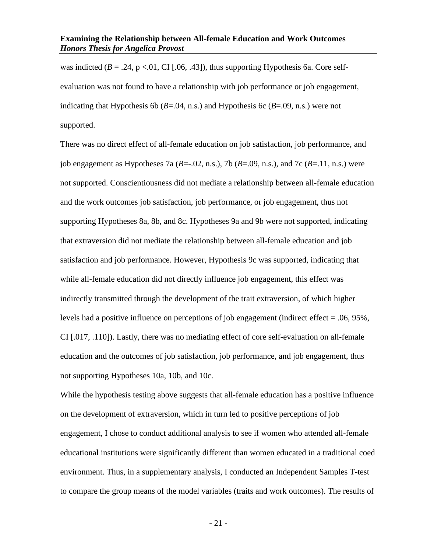was indicted  $(B = .24, p < .01, CI$  [.06, .43]), thus supporting Hypothesis 6a. Core selfevaluation was not found to have a relationship with job performance or job engagement, indicating that Hypothesis 6b ( $B = .04$ , n.s.) and Hypothesis 6c ( $B = .09$ , n.s.) were not supported.

There was no direct effect of all-female education on job satisfaction, job performance, and job engagement as Hypotheses 7a  $(B=-.02, n.s.)$ , 7b  $(B=.09, n.s.)$ , and 7c  $(B=.11, n.s.)$  were not supported. Conscientiousness did not mediate a relationship between all-female education and the work outcomes job satisfaction, job performance, or job engagement, thus not supporting Hypotheses 8a, 8b, and 8c. Hypotheses 9a and 9b were not supported, indicating that extraversion did not mediate the relationship between all-female education and job satisfaction and job performance. However, Hypothesis 9c was supported, indicating that while all-female education did not directly influence job engagement, this effect was indirectly transmitted through the development of the trait extraversion, of which higher levels had a positive influence on perceptions of job engagement (indirect effect = .06, 95%, CI [.017, .110]). Lastly, there was no mediating effect of core self-evaluation on all-female education and the outcomes of job satisfaction, job performance, and job engagement, thus not supporting Hypotheses 10a, 10b, and 10c.

While the hypothesis testing above suggests that all-female education has a positive influence on the development of extraversion, which in turn led to positive perceptions of job engagement, I chose to conduct additional analysis to see if women who attended all-female educational institutions were significantly different than women educated in a traditional coed environment. Thus, in a supplementary analysis, I conducted an Independent Samples T-test to compare the group means of the model variables (traits and work outcomes). The results of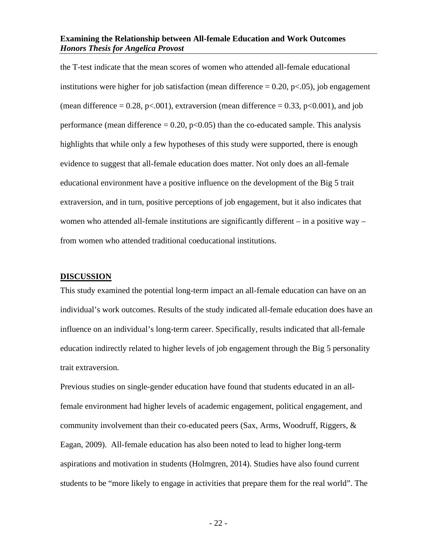the T-test indicate that the mean scores of women who attended all-female educational institutions were higher for job satisfaction (mean difference  $= 0.20$ ,  $p < .05$ ), job engagement (mean difference  $= 0.28$ , p $< 0.001$ ), extraversion (mean difference  $= 0.33$ , p $< 0.001$ ), and job performance (mean difference  $= 0.20$ ,  $p < 0.05$ ) than the co-educated sample. This analysis highlights that while only a few hypotheses of this study were supported, there is enough evidence to suggest that all-female education does matter. Not only does an all-female educational environment have a positive influence on the development of the Big 5 trait extraversion, and in turn, positive perceptions of job engagement, but it also indicates that women who attended all-female institutions are significantly different – in a positive way – from women who attended traditional coeducational institutions.

#### <span id="page-23-0"></span>**DISCUSSION**

This study examined the potential long-term impact an all-female education can have on an individual's work outcomes. Results of the study indicated all-female education does have an influence on an individual's long-term career. Specifically, results indicated that all-female education indirectly related to higher levels of job engagement through the Big 5 personality trait extraversion.

Previous studies on single-gender education have found that students educated in an allfemale environment had higher levels of academic engagement, political engagement, and community involvement than their co-educated peers (Sax, Arms, Woodruff, Riggers, & Eagan, 2009). All-female education has also been noted to lead to higher long-term aspirations and motivation in students (Holmgren, 2014). Studies have also found current students to be "more likely to engage in activities that prepare them for the real world". The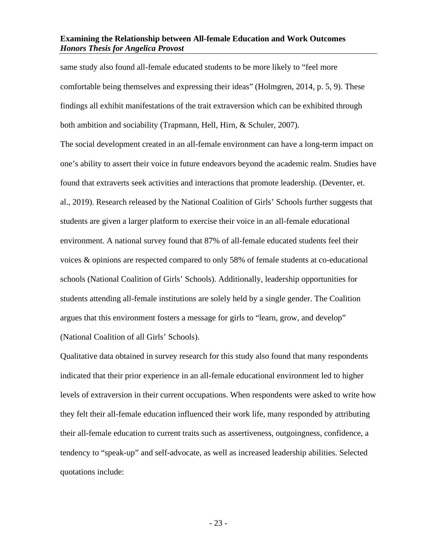same study also found all-female educated students to be more likely to "feel more comfortable being themselves and expressing their ideas" (Holmgren, 2014, p. 5, 9). These findings all exhibit manifestations of the trait extraversion which can be exhibited through both ambition and sociability (Trapmann, Hell, Hirn, & Schuler, 2007).

The social development created in an all-female environment can have a long-term impact on one's ability to assert their voice in future endeavors beyond the academic realm. Studies have found that extraverts seek activities and interactions that promote leadership. (Deventer, et. al., 2019). Research released by the National Coalition of Girls' Schools further suggests that students are given a larger platform to exercise their voice in an all-female educational environment. A national survey found that 87% of all-female educated students feel their voices & opinions are respected compared to only 58% of female students at co-educational schools (National Coalition of Girls' Schools). Additionally, leadership opportunities for students attending all-female institutions are solely held by a single gender. The Coalition argues that this environment fosters a message for girls to "learn, grow, and develop" (National Coalition of all Girls' Schools).

Qualitative data obtained in survey research for this study also found that many respondents indicated that their prior experience in an all-female educational environment led to higher levels of extraversion in their current occupations. When respondents were asked to write how they felt their all-female education influenced their work life, many responded by attributing their all-female education to current traits such as assertiveness, outgoingness, confidence, a tendency to "speak-up" and self-advocate, as well as increased leadership abilities. Selected quotations include: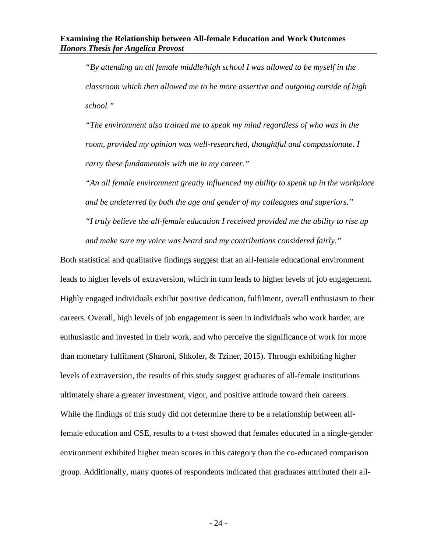*"By attending an all female middle/high school I was allowed to be myself in the classroom which then allowed me to be more assertive and outgoing outside of high school."* 

*"The environment also trained me to speak my mind regardless of who was in the room, provided my opinion was well-researched, thoughtful and compassionate. I carry these fundamentals with me in my career."* 

*"An all female environment greatly influenced my ability to speak up in the workplace and be undeterred by both the age and gender of my colleagues and superiors." "I truly believe the all-female education I received provided me the ability to rise up and make sure my voice was heard and my contributions considered fairly."*

Both statistical and qualitative findings suggest that an all-female educational environment leads to higher levels of extraversion, which in turn leads to higher levels of job engagement. Highly engaged individuals exhibit positive dedication, fulfilment, overall enthusiasm to their careers. Overall, high levels of job engagement is seen in individuals who work harder, are enthusiastic and invested in their work, and who perceive the significance of work for more than monetary fulfilment (Sharoni, Shkoler, & Tziner, 2015). Through exhibiting higher levels of extraversion, the results of this study suggest graduates of all-female institutions ultimately share a greater investment, vigor, and positive attitude toward their careers. While the findings of this study did not determine there to be a relationship between allfemale education and CSE, results to a t-test showed that females educated in a single-gender environment exhibited higher mean scores in this category than the co-educated comparison group. Additionally, many quotes of respondents indicated that graduates attributed their all-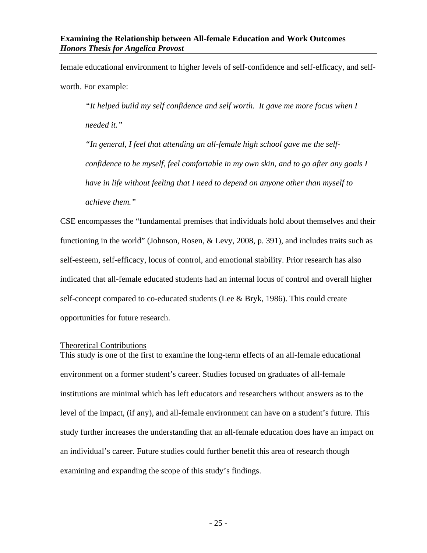female educational environment to higher levels of self-confidence and self-efficacy, and selfworth. For example:

*"It helped build my self confidence and self worth. It gave me more focus when I needed it."*

*"In general, I feel that attending an all-female high school gave me the selfconfidence to be myself, feel comfortable in my own skin, and to go after any goals I have in life without feeling that I need to depend on anyone other than myself to achieve them."*

CSE encompasses the "fundamental premises that individuals hold about themselves and their functioning in the world" (Johnson, Rosen, & Levy, 2008, p. 391), and includes traits such as self-esteem, self-efficacy, locus of control, and emotional stability. Prior research has also indicated that all-female educated students had an internal locus of control and overall higher self-concept compared to co-educated students (Lee & Bryk, 1986). This could create opportunities for future research.

#### <span id="page-26-0"></span>Theoretical Contributions

This study is one of the first to examine the long-term effects of an all-female educational environment on a former student's career. Studies focused on graduates of all-female institutions are minimal which has left educators and researchers without answers as to the level of the impact, (if any), and all-female environment can have on a student's future. This study further increases the understanding that an all-female education does have an impact on an individual's career. Future studies could further benefit this area of research though examining and expanding the scope of this study's findings.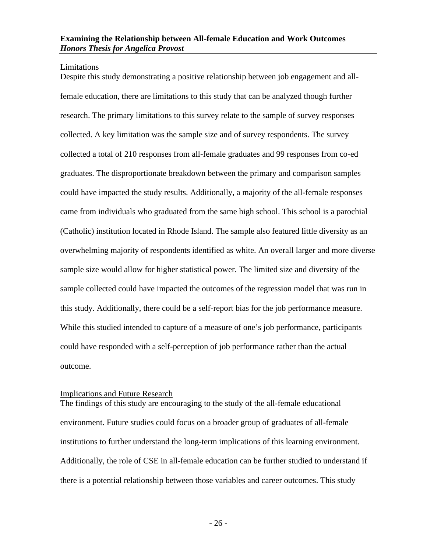#### <span id="page-27-0"></span>Limitations

Despite this study demonstrating a positive relationship between job engagement and allfemale education, there are limitations to this study that can be analyzed though further research. The primary limitations to this survey relate to the sample of survey responses collected. A key limitation was the sample size and of survey respondents. The survey collected a total of 210 responses from all-female graduates and 99 responses from co-ed graduates. The disproportionate breakdown between the primary and comparison samples could have impacted the study results. Additionally, a majority of the all-female responses came from individuals who graduated from the same high school. This school is a parochial (Catholic) institution located in Rhode Island. The sample also featured little diversity as an overwhelming majority of respondents identified as white. An overall larger and more diverse sample size would allow for higher statistical power. The limited size and diversity of the sample collected could have impacted the outcomes of the regression model that was run in this study. Additionally, there could be a self-report bias for the job performance measure. While this studied intended to capture of a measure of one's job performance, participants could have responded with a self-perception of job performance rather than the actual outcome.

#### <span id="page-27-1"></span>Implications and Future Research

The findings of this study are encouraging to the study of the all-female educational environment. Future studies could focus on a broader group of graduates of all-female institutions to further understand the long-term implications of this learning environment. Additionally, the role of CSE in all-female education can be further studied to understand if there is a potential relationship between those variables and career outcomes. This study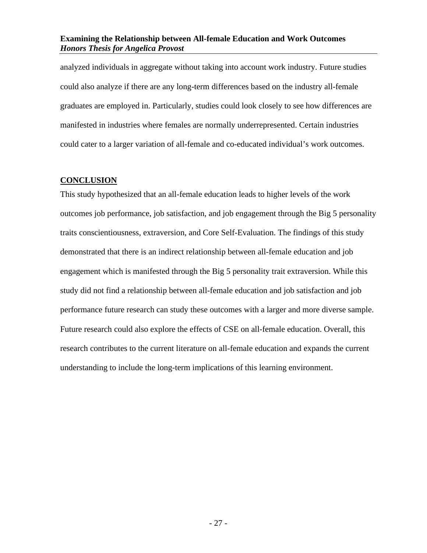analyzed individuals in aggregate without taking into account work industry. Future studies could also analyze if there are any long-term differences based on the industry all-female graduates are employed in. Particularly, studies could look closely to see how differences are manifested in industries where females are normally underrepresented. Certain industries could cater to a larger variation of all-female and co-educated individual's work outcomes.

#### <span id="page-28-0"></span>**CONCLUSION**

This study hypothesized that an all-female education leads to higher levels of the work outcomes job performance, job satisfaction, and job engagement through the Big 5 personality traits conscientiousness, extraversion, and Core Self-Evaluation. The findings of this study demonstrated that there is an indirect relationship between all-female education and job engagement which is manifested through the Big 5 personality trait extraversion. While this study did not find a relationship between all-female education and job satisfaction and job performance future research can study these outcomes with a larger and more diverse sample. Future research could also explore the effects of CSE on all-female education. Overall, this research contributes to the current literature on all-female education and expands the current understanding to include the long-term implications of this learning environment.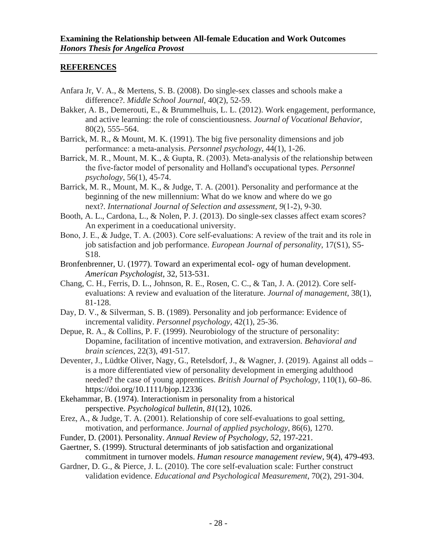#### <span id="page-29-0"></span>**REFERENCES**

- Anfara Jr, V. A., & Mertens, S. B. (2008). Do single-sex classes and schools make a difference?. *Middle School Journal*, 40(2), 52-59.
- Bakker, A. B., Demerouti, E., & Brummelhuis, L. L. (2012). Work engagement, performance, and active learning: the role of conscientiousness. *Journal of Vocational Behavior*, 80(2), 555–564.
- Barrick, M. R., & Mount, M. K. (1991). The big five personality dimensions and job performance: a meta‐analysis. *Personnel psychology*, 44(1), 1-26.
- Barrick, M. R., Mount, M. K., & Gupta, R. (2003). Meta-analysis of the relationship between the five‐factor model of personality and Holland's occupational types. *Personnel psychology*, 56(1), 45-74.
- Barrick, M. R., Mount, M. K., & Judge, T. A. (2001). Personality and performance at the beginning of the new millennium: What do we know and where do we go next?. *International Journal of Selection and assessment*, *9*(1‐2), 9-30.
- Booth, A. L., Cardona, L., & Nolen, P. J. (2013). Do single-sex classes affect exam scores? An experiment in a coeducational university.
- Bono, J. E., & Judge, T. A. (2003). Core self‐evaluations: A review of the trait and its role in job satisfaction and job performance. *European Journal of personality*, 17(S1), S5- S18.
- Bronfenbrenner, U. (1977). Toward an experimental ecol- ogy of human development. *American Psychologist*, 32, 513-531.
- Chang, C. H., Ferris, D. L., Johnson, R. E., Rosen, C. C., & Tan, J. A. (2012). Core selfevaluations: A review and evaluation of the literature. *Journal of management*, 38(1), 81-128.
- Day, D. V., & Silverman, S. B. (1989). Personality and job performance: Evidence of incremental validity. *Personnel psychology*, 42(1), 25-36.
- Depue, R. A., & Collins, P. F. (1999). Neurobiology of the structure of personality: Dopamine, facilitation of incentive motivation, and extraversion. *Behavioral and brain sciences*, 22(3), 491-517.
- Deventer, J., Lüdtke Oliver, Nagy, G., Retelsdorf, J., & Wagner, J. (2019). Against all odds is a more differentiated view of personality development in emerging adulthood needed? the case of young apprentices. *British Journal of Psychology*, 110(1), 60–86. <https://doi.org/10.1111/bjop.12336>
- Ekehammar, B. (1974). Interactionism in personality from a historical perspective. *Psychological bulletin*, *81*(12), 1026.
- Erez, A., & Judge, T. A. (2001). Relationship of core self-evaluations to goal setting, motivation, and performance. *Journal of applied psychology*, 86(6), 1270.
- Funder, D. (2001). Personality. *Annual Review of Psychology, 52*, 197-221.
- Gaertner, S. (1999). Structural determinants of job satisfaction and organizational commitment in turnover models. *Human resource management review*, 9(4), 479-493.
- Gardner, D. G., & Pierce, J. L. (2010). The core self-evaluation scale: Further construct validation evidence. *Educational and Psychological Measurement*, 70(2), 291-304.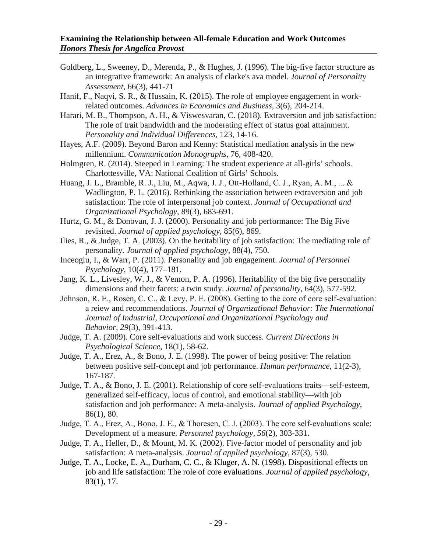- Goldberg, L., Sweeney, D., Merenda, P., & Hughes, J. (1996). The big-five factor structure as an integrative framework: An analysis of clarke's ava model. *Journal of Personality Assessment*, 66(3), 441-71
- Hanif, F., Naqvi, S. R., & Hussain, K. (2015). The role of employee engagement in workrelated outcomes. *Advances in Economics and Business*, 3(6), 204-214.

Harari, M. B., Thompson, A. H., & Viswesvaran, C. (2018). Extraversion and job satisfaction: The role of trait bandwidth and the moderating effect of status goal attainment. *Personality and Individual Differences*, 123, 14-16.

- Hayes, A.F. (2009). Beyond Baron and Kenny: Statistical mediation analysis in the new millennium. *Communication Monographs*, 76, 408-420.
- Holmgren, R. (2014). Steeped in Learning: The student experience at all-girls' schools. Charlottesville, VA: National Coalition of Girls' Schools.
- Huang, J. L., Bramble, R. J., Liu, M., Aqwa, J. J., Ott‐Holland, C. J., Ryan, A. M., ... & Wadlington, P. L. (2016). Rethinking the association between extraversion and job satisfaction: The role of interpersonal job context. *Journal of Occupational and Organizational Psychology*, 89(3), 683-691.
- Hurtz, G. M., & Donovan, J. J. (2000). Personality and job performance: The Big Five revisited. *Journal of applied psychology*, 85(6), 869.
- Ilies, R., & Judge, T. A. (2003). On the heritability of job satisfaction: The mediating role of personality*. Journal of applied psychology*, 88(4), 750.
- Inceoglu, I., & Warr, P. (2011). Personality and job engagement. *Journal of Personnel Psychology*, 10(4), 177–181.
- Jang, K. L., Livesley, W. J., & Vemon, P. A. (1996). Heritability of the big five personality dimensions and their facets: a twin study. *Journal of personality*, 64(3), 577-592.
- Johnson, R. E., Rosen, C. C., & Levy, P. E. (2008). Getting to the core of core self-evaluation: a reiew and recommendations. *Journal of Organizational Behavior: The International Journal of Industrial, Occupational and Organizational Psychology and Behavior*, *29*(3), 391-413.
- Judge, T. A. (2009). Core self-evaluations and work success. *Current Directions in Psychological Science*, 18(1), 58-62.
- Judge, T. A., Erez, A., & Bono, J. E. (1998). The power of being positive: The relation between positive self-concept and job performance. *Human performance*, 11(2-3), 167-187.
- Judge, T. A., & Bono, J. E. (2001). Relationship of core self-evaluations traits—self-esteem, generalized self-efficacy, locus of control, and emotional stability—with job satisfaction and job performance: A meta-analysis. *Journal of applied Psychology*, 86(1), 80.
- Judge, T. A., Erez, A., Bono, J. E., & Thoresen, C. J. (2003). The core self‐evaluations scale: Development of a measure. *Personnel psychology*, *56*(2), 303-331.
- Judge, T. A., Heller, D., & Mount, M. K. (2002). Five-factor model of personality and job satisfaction: A meta-analysis. *Journal of applied psychology*, 87(3), 530.
- Judge, T. A., Locke, E. A., Durham, C. C., & Kluger, A. N. (1998). Dispositional effects on job and life satisfaction: The role of core evaluations. *Journal of applied psychology*, 83(1), 17.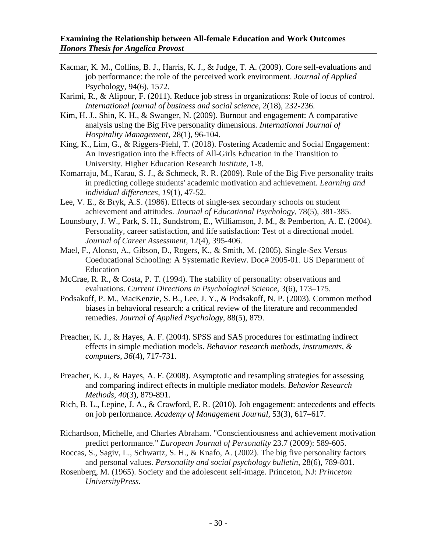- Kacmar, K. M., Collins, B. J., Harris, K. J., & Judge, T. A. (2009). Core self-evaluations and job performance: the role of the perceived work environment. *Journal of Applied* Psychology, 94(6), 1572.
- Karimi, R., & Alipour, F. (2011). Reduce job stress in organizations: Role of locus of control. *International journal of business and social science*, 2(18), 232-236.
- Kim, H. J., Shin, K. H., & Swanger, N. (2009). Burnout and engagement: A comparative analysis using the Big Five personality dimensions*. International Journal of Hospitality Management*, 28(1), 96-104.
- King, K., Lim, G., & Riggers-Piehl, T. (2018). Fostering Academic and Social Engagement: An Investigation into the Effects of All-Girls Education in the Transition to University. Higher Education Research *Institute*, 1-8.
- Komarraju, M., Karau, S. J., & Schmeck, R. R. (2009). Role of the Big Five personality traits in predicting college students' academic motivation and achievement. *Learning and individual differences*, *19*(1), 47-52.
- Lee, V. E., & Bryk, A.S. (1986). Effects of single-sex secondary schools on student achievement and attitudes. *Journal of Educational Psychology*, 78(5), 381-385.
- Lounsbury, J. W., Park, S. H., Sundstrom, E., Williamson, J. M., & Pemberton, A. E. (2004). Personality, career satisfaction, and life satisfaction: Test of a directional model. *Journal of Career Assessment*, 12(4), 395-406.
- Mael, F., Alonso, A., Gibson, D., Rogers, K., & Smith, M. (2005). Single-Sex Versus Coeducational Schooling: A Systematic Review. Doc# 2005-01. US Department of Education
- McCrae, R. R., & Costa, P. T. (1994). The stability of personality: observations and evaluations. *Current Directions in Psychological Science*, 3(6), 173–175.
- Podsakoff, P. M., MacKenzie, S. B., Lee, J. Y., & Podsakoff, N. P. (2003). Common method biases in behavioral research: a critical review of the literature and recommended remedies. *Journal of Applied Psychology*, 88(5), 879.
- Preacher, K. J., & Hayes, A. F. (2004). SPSS and SAS procedures for estimating indirect effects in simple mediation models. *Behavior research methods, instruments, & computers*, *36*(4), 717-731.
- Preacher, K. J., & Hayes, A. F. (2008). Asymptotic and resampling strategies for assessing and comparing indirect effects in multiple mediator models. *Behavior Research Methods*, *40*(3), 879-891.
- Rich, B. L., Lepine, J. A., & Crawford, E. R. (2010). Job engagement: antecedents and effects on job performance. *Academy of Management Journal*, 53(3), 617–617.
- Richardson, Michelle, and Charles Abraham. "Conscientiousness and achievement motivation predict performance." *European Journal of Personality* 23.7 (2009): 589-605.
- Roccas, S., Sagiv, L., Schwartz, S. H., & Knafo, A. (2002). The big five personality factors and personal values. *Personality and social psychology bulletin*, 28(6), 789-801.
- Rosenberg, M. (1965). Society and the adolescent self-image. Princeton, NJ: *Princeton UniversityPress.*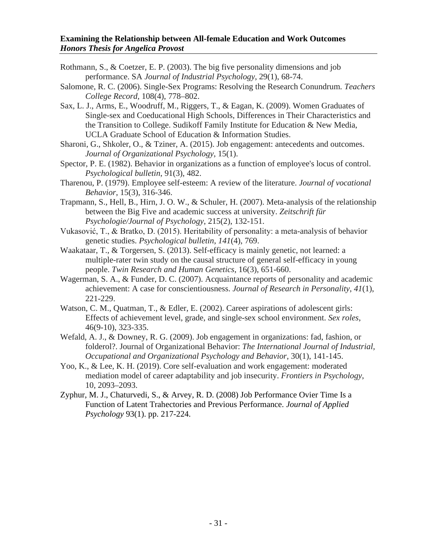- Rothmann, S., & Coetzer, E. P. (2003). The big five personality dimensions and job performance. SA *Journal of Industrial Psychology*, 29(1), 68-74.
- Salomone, R. C. (2006). Single-Sex Programs: Resolving the Research Conundrum*. Teachers College Record,* 108(4), 778–802.
- Sax, L. J., Arms, E., Woodruff, M., Riggers, T., & Eagan, K. (2009). Women Graduates of Single-sex and Coeducational High Schools, Differences in Their Characteristics and the Transition to College. Sudikoff Family Institute for Education & New Media, UCLA Graduate School of Education & Information Studies.
- Sharoni, G., Shkoler, O., & Tziner, A. (2015). Job engagement: antecedents and outcomes. *Journal of Organizational Psychology*, 15(1).
- Spector, P. E. (1982). Behavior in organizations as a function of employee's locus of control. *Psychological bulletin*, 91(3), 482.
- Tharenou, P. (1979). Employee self-esteem: A review of the literature. *Journal of vocational Behavior*, 15(3), 316-346.
- Trapmann, S., Hell, B., Hirn, J. O. W., & Schuler, H. (2007). Meta-analysis of the relationship between the Big Five and academic success at university. *Zeitschrift für Psychologie/Journal of Psychology*, 215(2), 132-151.
- Vukasović, T., & Bratko, D. (2015). Heritability of personality: a meta-analysis of behavior genetic studies. *Psychological bulletin*, *141*(4), 769.
- Waakataar, T., & Torgersen, S. (2013). Self-efficacy is mainly genetic, not learned: a multiple-rater twin study on the causal structure of general self-efficacy in young people. *Twin Research and Human Genetics*, 16(3), 651-660.
- Wagerman, S. A., & Funder, D. C. (2007). Acquaintance reports of personality and academic achievement: A case for conscientiousness. *Journal of Research in Personality*, *41*(1), 221-229.
- Watson, C. M., Quatman, T., & Edler, E. (2002). Career aspirations of adolescent girls: Effects of achievement level, grade, and single-sex school environment. *Sex roles*, 46(9-10), 323-335.
- Wefald, A. J., & Downey, R. G. (2009). Job engagement in organizations: fad, fashion, or folderol?. Journal of Organizational Behavior: *The International Journal of Industrial, Occupational and Organizational Psychology and Behavior*, 30(1), 141-145.
- Yoo, K., & Lee, K. H. (2019). Core self-evaluation and work engagement: moderated mediation model of career adaptability and job insecurity. *Frontiers in Psychology*, 10, 2093–2093.
- Zyphur, M. J., Chaturvedi, S., & Arvey, R. D. (2008) Job Performance Ovier Time Is a Function of Latent Trahectories and Previous Performance. *Journal of Applied Psychology* 93(1). pp. 217-224.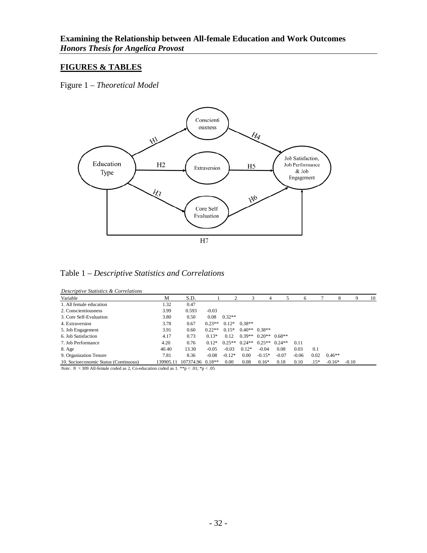#### <span id="page-33-0"></span>**FIGURES & TABLES**

<span id="page-33-1"></span>Figure 1 – *Theoretical Model*



<span id="page-33-2"></span>

|  | Descriptive Statistics & Correlations |
|--|---------------------------------------|
|  |                                       |

| Variable                              | М         | S.D.             |          |          |          | 4                          |          | 6       |        | 8        |         | 10 |
|---------------------------------------|-----------|------------------|----------|----------|----------|----------------------------|----------|---------|--------|----------|---------|----|
| 1. All female education               | 1.32      | 0.47             |          |          |          |                            |          |         |        |          |         |    |
| 2. Conscientiousness                  | 3.99      | 0.593            | $-0.03$  |          |          |                            |          |         |        |          |         |    |
| 3. Core Self-Evaluation               | 3.80      | 0.50             | 0.08     | $0.32**$ |          |                            |          |         |        |          |         |    |
| 4. Extraversion                       | 3.78      | 0.67             | $0.23**$ | $0.12*$  | $0.38**$ |                            |          |         |        |          |         |    |
| 5. Job Engagement                     | 3.91      | 0.60             | $0.22**$ | $0.15*$  |          | $0.40**$ 0.38**            |          |         |        |          |         |    |
| 6. Job Satisfaction                   | 4.17      | 0.73             | $0.13*$  | 0.12     |          | $0.39**$ $0.20**$ $0.68**$ |          |         |        |          |         |    |
| 7. Job Performance                    | 4.20      | 0.76             | $0.12*$  | $0.25**$ | $0.24**$ | $0.25**$                   | $0.24**$ | 0.11    |        |          |         |    |
| 8. Age                                | 40.40     | 13.30            | $-0.05$  | $-0.03$  | $0.12*$  | $-0.04$                    | 0.08     | 0.03    | 0.1    |          |         |    |
| 9. Organization Tenure                | 7.81      | 8.36             | $-0.08$  | $-0.12*$ | 0.00     | $-0.15*$                   | $-0.07$  | $-0.06$ | 0.02   | $0.46**$ |         |    |
| 10. Socioeconomic Status (Continuous) | 139905.11 | 107374.96 0.18** |          | 0.00     | 0.08     | $0.16*$                    | 0.18     | 0.10    | $.15*$ | $-0.16*$ | $-0.10$ |    |

*Note* .  $N = 309$  All-female coded as 2, Co-education coded as 1. \*\*p < .01; \*p < .05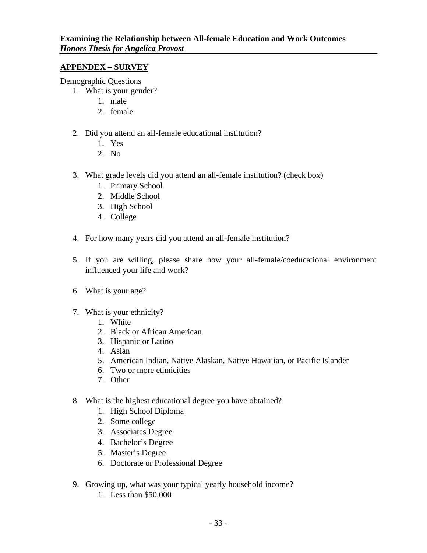#### <span id="page-34-0"></span>**APPENDEX – SURVEY**

Demographic Questions

- 1. What is your gender?
	- 1. male
	- 2. female
- 2. Did you attend an all-female educational institution?
	- 1. Yes
	- 2. No
- 3. What grade levels did you attend an all-female institution? (check box)
	- 1. Primary School
	- 2. Middle School
	- 3. High School
	- 4. College
- 4. For how many years did you attend an all-female institution?
- 5. If you are willing, please share how your all-female/coeducational environment influenced your life and work?
- 6. What is your age?
- 7. What is your ethnicity?
	- 1. White
	- 2. Black or African American
	- 3. Hispanic or Latino
	- 4. Asian
	- 5. American Indian, Native Alaskan, Native Hawaiian, or Pacific Islander
	- 6. Two or more ethnicities
	- 7. Other
- 8. What is the highest educational degree you have obtained?
	- 1. High School Diploma
	- 2. Some college
	- 3. Associates Degree
	- 4. Bachelor's Degree
	- 5. Master's Degree
	- 6. Doctorate or Professional Degree
- 9. Growing up, what was your typical yearly household income?
	- 1. Less than \$50,000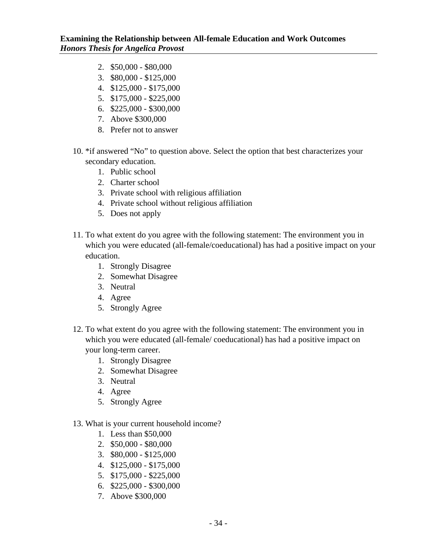- 2. \$50,000 \$80,000
- 3. \$80,000 \$125,000
- 4. \$125,000 \$175,000
- 5. \$175,000 \$225,000
- 6. \$225,000 \$300,000
- 7. Above \$300,000
- 8. Prefer not to answer
- 10. \*if answered "No" to question above. Select the option that best characterizes your secondary education.
	- 1. Public school
	- 2. Charter school
	- 3. Private school with religious affiliation
	- 4. Private school without religious affiliation
	- 5. Does not apply
- 11. To what extent do you agree with the following statement: The environment you in which you were educated (all-female/coeducational) has had a positive impact on your education.
	- 1. Strongly Disagree
	- 2. Somewhat Disagree
	- 3. Neutral
	- 4. Agree
	- 5. Strongly Agree
- 12. To what extent do you agree with the following statement: The environment you in which you were educated (all-female/ coeducational) has had a positive impact on your long-term career.
	- 1. Strongly Disagree
	- 2. Somewhat Disagree
	- 3. Neutral
	- 4. Agree
	- 5. Strongly Agree
- 13. What is your current household income?
	- 1. Less than \$50,000
	- 2. \$50,000 \$80,000
	- 3. \$80,000 \$125,000
	- 4. \$125,000 \$175,000
	- 5. \$175,000 \$225,000
	- 6. \$225,000 \$300,000
	- 7. Above \$300,000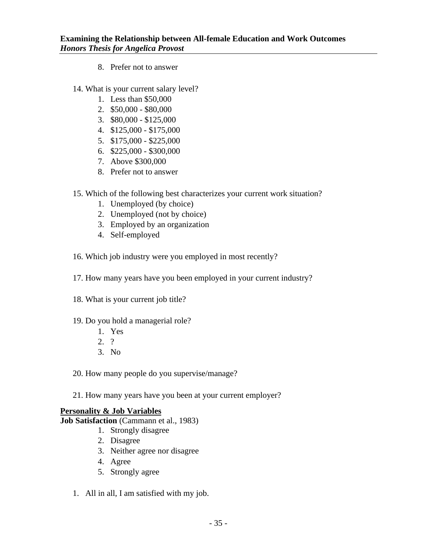- 8. Prefer not to answer
- 14. What is your current salary level?
	- 1. Less than \$50,000
	- 2. \$50,000 \$80,000
	- 3. \$80,000 \$125,000
	- 4. \$125,000 \$175,000
	- 5. \$175,000 \$225,000
	- 6. \$225,000 \$300,000
	- 7. Above \$300,000
	- 8. Prefer not to answer
- 15. Which of the following best characterizes your current work situation?
	- 1. Unemployed (by choice)
	- 2. Unemployed (not by choice)
	- 3. Employed by an organization
	- 4. Self-employed
- 16. Which job industry were you employed in most recently?
- 17. How many years have you been employed in your current industry?
- 18. What is your current job title?
- 19. Do you hold a managerial role?
	- 1. Yes
	- 2. ?
	- 3. No
- 20. How many people do you supervise/manage?
- 21. How many years have you been at your current employer?

#### **Personality & Job Variables**

**Job Satisfaction** (Cammann et al., 1983)

- 1. Strongly disagree
- 2. Disagree
- 3. Neither agree nor disagree
- 4. Agree
- 5. Strongly agree
- 1. All in all, I am satisfied with my job.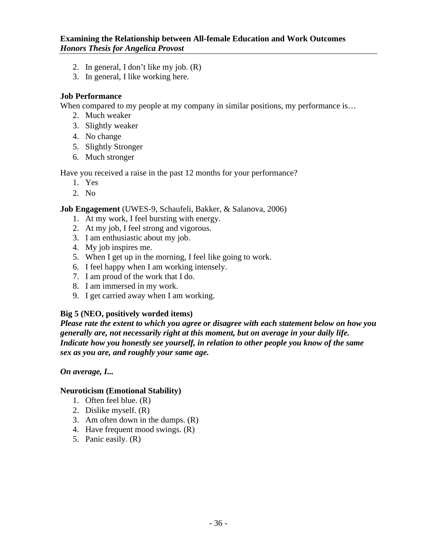- 2. In general, I don't like my job. (R)
- 3. In general, I like working here.

#### **Job Performance**

When compared to my people at my company in similar positions, my performance is...

- 2. Much weaker
- 3. Slightly weaker
- 4. No change
- 5. Slightly Stronger
- 6. Much stronger

Have you received a raise in the past 12 months for your performance?

- 1. Yes
- 2. No

**Job Engagement** (UWES-9, Schaufeli, Bakker, & Salanova, 2006)

- 1. At my work, I feel bursting with energy.
- 2. At my job, I feel strong and vigorous.
- 3. I am enthusiastic about my job.
- 4. My job inspires me.
- 5. When I get up in the morning, I feel like going to work.
- 6. I feel happy when I am working intensely.
- 7. I am proud of the work that I do.
- 8. I am immersed in my work.
- 9. I get carried away when I am working.

#### **Big 5 (NEO, positively worded items)**

*Please rate the extent to which you agree or disagree with each statement below on how you generally are, not necessarily right at this moment, but on average in your daily life. Indicate how you honestly see yourself, in relation to other people you know of the same sex as you are, and roughly your same age.*

#### *On average, I...*

#### **Neuroticism (Emotional Stability)**

- 1. Often feel blue. (R)
- 2. Dislike myself. (R)
- 3. Am often down in the dumps. (R)
- 4. Have frequent mood swings. (R)
- 5. Panic easily. (R)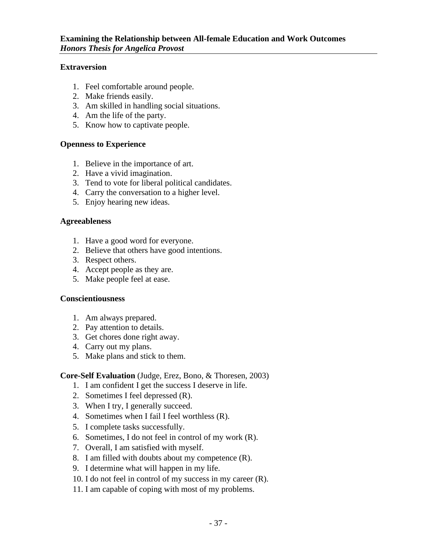#### **Extraversion**

- 1. Feel comfortable around people.
- 2. Make friends easily.
- 3. Am skilled in handling social situations.
- 4. Am the life of the party.
- 5. Know how to captivate people.

#### **Openness to Experience**

- 1. Believe in the importance of art.
- 2. Have a vivid imagination.
- 3. Tend to vote for liberal political candidates.
- 4. Carry the conversation to a higher level.
- 5. Enjoy hearing new ideas.

#### **Agreeableness**

- 1. Have a good word for everyone.
- 2. Believe that others have good intentions.
- 3. Respect others.
- 4. Accept people as they are.
- 5. Make people feel at ease.

#### **Conscientiousness**

- 1. Am always prepared.
- 2. Pay attention to details.
- 3. Get chores done right away.
- 4. Carry out my plans.
- 5. Make plans and stick to them.

#### **Core-Self Evaluation** (Judge, Erez, Bono, & Thoresen, 2003)

- 1. I am confident I get the success I deserve in life.
- 2. Sometimes I feel depressed (R).
- 3. When I try, I generally succeed.
- 4. Sometimes when I fail I feel worthless (R).
- 5. I complete tasks successfully.
- 6. Sometimes, I do not feel in control of my work (R).
- 7. Overall, I am satisfied with myself.
- 8. I am filled with doubts about my competence (R).
- 9. I determine what will happen in my life.
- 10. I do not feel in control of my success in my career (R).
- 11. I am capable of coping with most of my problems.